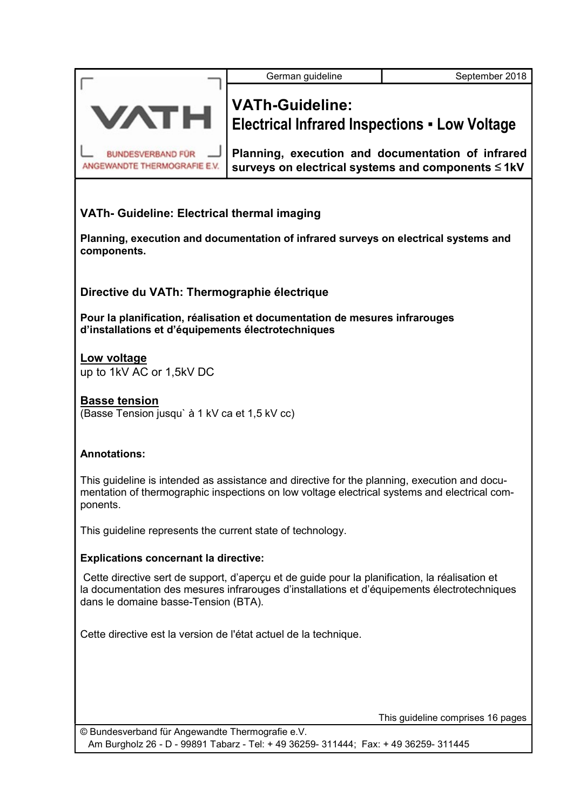| <b>VATH</b>                                                           | <b>VATh-Guideline:</b><br><b>Electrical Infrared Inspections - Low Voltage</b>                                                                                                               |
|-----------------------------------------------------------------------|----------------------------------------------------------------------------------------------------------------------------------------------------------------------------------------------|
| BUNDESVERBAND FÜR -<br>ANGEWANDTE THERMOGRAFIE E.V.                   | Planning, execution and documentation of infrared<br>surveys on electrical systems and components ≤1kV                                                                                       |
| VATh- Guideline: Electrical thermal imaging                           |                                                                                                                                                                                              |
| components.                                                           | Planning, execution and documentation of infrared surveys on electrical systems and                                                                                                          |
| Directive du VATh: Thermographie électrique                           |                                                                                                                                                                                              |
| d'installations et d'équipements électrotechniques                    | Pour la planification, réalisation et documentation de mesures infrarouges                                                                                                                   |
| <u>Low voltage</u><br>up to 1kV AC or 1,5kV DC                        |                                                                                                                                                                                              |
| <b>Basse tension</b><br>(Basse Tension jusqu' à 1 kV ca et 1,5 kV cc) |                                                                                                                                                                                              |
| <b>Annotations:</b>                                                   |                                                                                                                                                                                              |
| ponents.                                                              | This guideline is intended as assistance and directive for the planning, execution and docu-<br>mentation of thermographic inspections on low voltage electrical systems and electrical com- |
| This guideline represents the current state of technology.            |                                                                                                                                                                                              |

German guideline **September 2018** 

#### Explications concernant la directive:

 Cette directive sert de support, d'aperçu et de guide pour la planification, la réalisation et la documentation des mesures infrarouges d'installations et d'équipements électrotechniques dans le domaine basse-Tension (BTA).

Cette directive est la version de l'état actuel de la technique.

This guideline comprises 16 pages

© Bundesverband für Angewandte Thermografie e.V. Am Burgholz 26 - D - 99891 Tabarz - Tel: + 49 36259- 311444; Fax: + 49 36259- 311445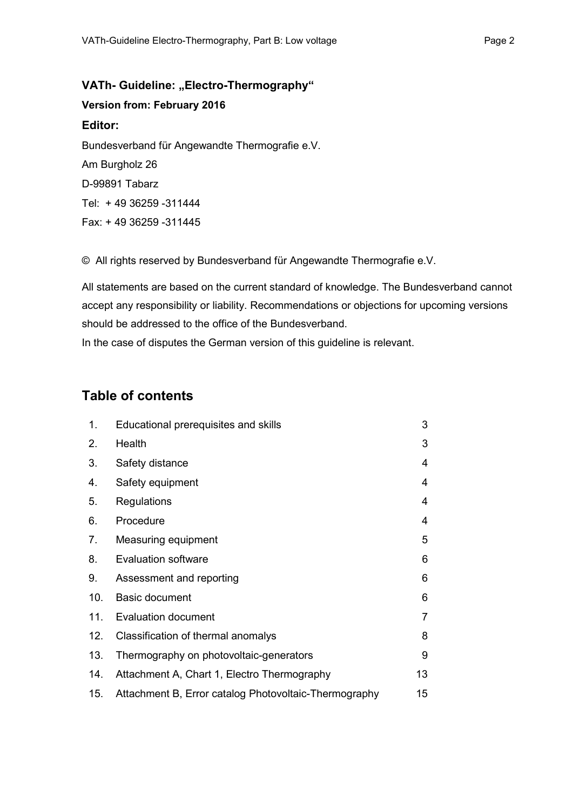VATh- Guideline: "Electro-Thermography" Version from: February 2016 Editor: Bundesverband für Angewandte Thermografie e.V. Am Burgholz 26 D-99891 Tabarz Tel: + 49 36259 -311444 Fax: + 49 36259 -311445

© All rights reserved by Bundesverband für Angewandte Thermografie e.V.

All statements are based on the current standard of knowledge. The Bundesverband cannot accept any responsibility or liability. Recommendations or objections for upcoming versions should be addressed to the office of the Bundesverband.

In the case of disputes the German version of this guideline is relevant.

### Table of contents

| 1.  | Educational prerequisites and skills                  | 3  |
|-----|-------------------------------------------------------|----|
| 2.  | Health                                                | 3  |
| 3.  | Safety distance                                       | 4  |
| 4.  | Safety equipment                                      | 4  |
| 5.  | Regulations                                           | 4  |
| 6.  | Procedure                                             | 4  |
| 7.  | Measuring equipment                                   | 5  |
| 8.  | <b>Evaluation software</b>                            | 6  |
| 9.  | Assessment and reporting                              | 6  |
| 10. | <b>Basic document</b>                                 | 6  |
| 11. | <b>Evaluation document</b>                            | 7  |
| 12. | Classification of thermal anomalys                    | 8  |
| 13. | Thermography on photovoltaic-generators               | 9  |
| 14. | Attachment A, Chart 1, Electro Thermography           | 13 |
| 15. | Attachment B, Error catalog Photovoltaic-Thermography | 15 |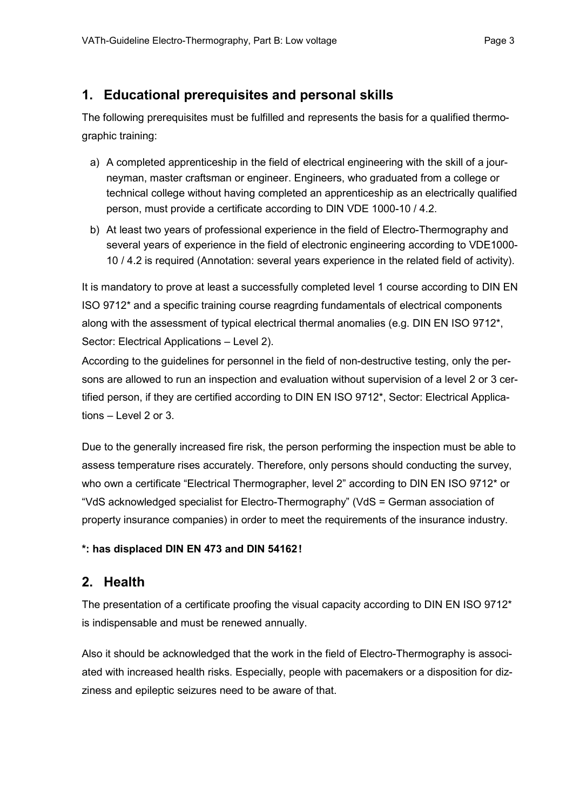### 1. Educational prerequisites and personal skills

The following prerequisites must be fulfilled and represents the basis for a qualified thermographic training:

- a) A completed apprenticeship in the field of electrical engineering with the skill of a journeyman, master craftsman or engineer. Engineers, who graduated from a college or technical college without having completed an apprenticeship as an electrically qualified person, must provide a certificate according to DIN VDE 1000-10 / 4.2.
- b) At least two years of professional experience in the field of Electro-Thermography and several years of experience in the field of electronic engineering according to VDE1000- 10 / 4.2 is required (Annotation: several years experience in the related field of activity).

It is mandatory to prove at least a successfully completed level 1 course according to DIN EN ISO 9712\* and a specific training course reagrding fundamentals of electrical components along with the assessment of typical electrical thermal anomalies (e.g. DIN EN ISO 9712\*, Sector: Electrical Applications – Level 2).

According to the guidelines for personnel in the field of non-destructive testing, only the persons are allowed to run an inspection and evaluation without supervision of a level 2 or 3 certified person, if they are certified according to DIN EN ISO 9712\*, Sector: Electrical Applications – Level 2 or 3.

Due to the generally increased fire risk, the person performing the inspection must be able to assess temperature rises accurately. Therefore, only persons should conducting the survey, who own a certificate "Electrical Thermographer, level 2" according to DIN EN ISO 9712\* or "VdS acknowledged specialist for Electro-Thermography" (VdS = German association of property insurance companies) in order to meet the requirements of the insurance industry.

#### \*: has displaced DIN EN 473 and DIN 54162!

### 2. Health

The presentation of a certificate proofing the visual capacity according to DIN EN ISO 9712<sup>\*</sup> is indispensable and must be renewed annually.

Also it should be acknowledged that the work in the field of Electro-Thermography is associated with increased health risks. Especially, people with pacemakers or a disposition for dizziness and epileptic seizures need to be aware of that.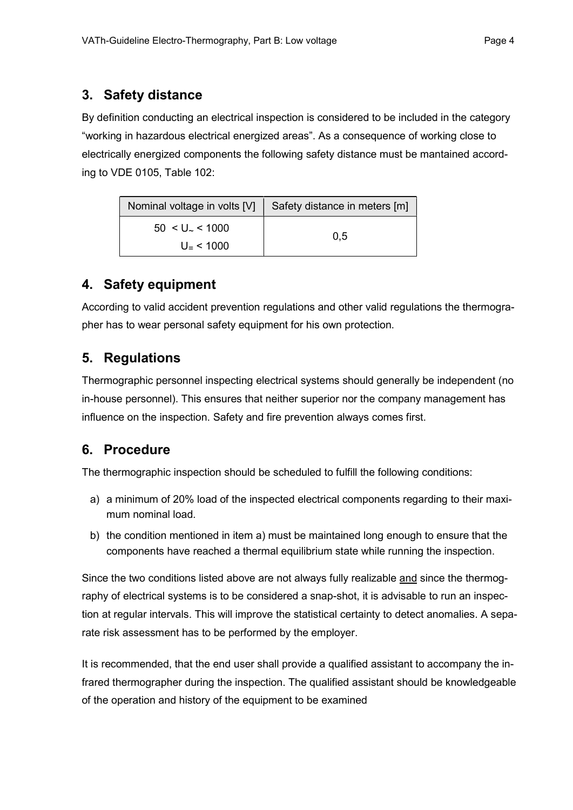### 3. Safety distance

By definition conducting an electrical inspection is considered to be included in the category "working in hazardous electrical energized areas". As a consequence of working close to electrically energized components the following safety distance must be mantained according to VDE 0105, Table 102:

| Nominal voltage in volts [V] | Safety distance in meters [m] |
|------------------------------|-------------------------------|
| $50 < U$ <sub>~</sub> < 1000 | 0,5                           |
| $U - 51000$                  |                               |

## 4. Safety equipment

According to valid accident prevention regulations and other valid regulations the thermographer has to wear personal safety equipment for his own protection.

# 5. Regulations

Thermographic personnel inspecting electrical systems should generally be independent (no in-house personnel). This ensures that neither superior nor the company management has influence on the inspection. Safety and fire prevention always comes first.

### 6. Procedure

The thermographic inspection should be scheduled to fulfill the following conditions:

- a) a minimum of 20% load of the inspected electrical components regarding to their maximum nominal load.
- b) the condition mentioned in item a) must be maintained long enough to ensure that the components have reached a thermal equilibrium state while running the inspection.

Since the two conditions listed above are not always fully realizable and since the thermography of electrical systems is to be considered a snap-shot, it is advisable to run an inspection at regular intervals. This will improve the statistical certainty to detect anomalies. A separate risk assessment has to be performed by the employer.

It is recommended, that the end user shall provide a qualified assistant to accompany the infrared thermographer during the inspection. The qualified assistant should be knowledgeable of the operation and history of the equipment to be examined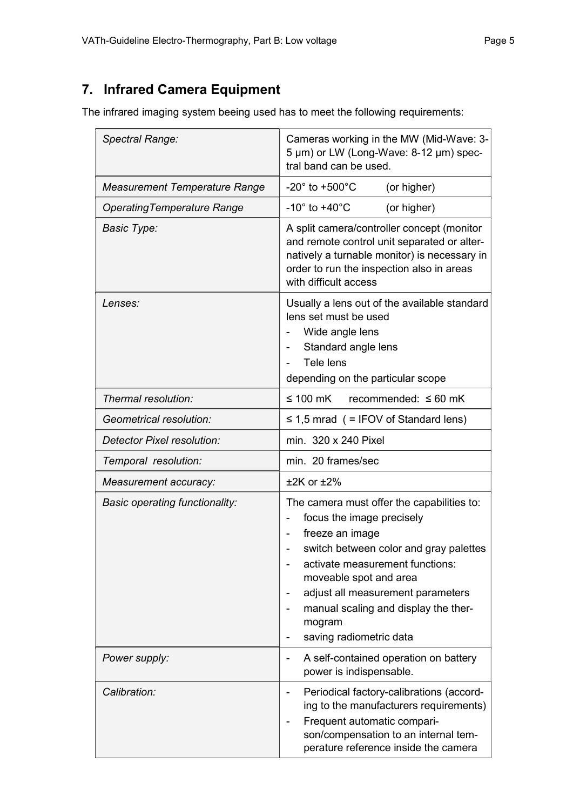# 7. Infrared Camera Equipment

The infrared imaging system beeing used has to meet the following requirements:

| Spectral Range:                       | Cameras working in the MW (Mid-Wave: 3-<br>5 µm) or LW (Long-Wave: 8-12 µm) spec-<br>tral band can be used.                                                                                                                                                                                                         |  |  |  |  |  |
|---------------------------------------|---------------------------------------------------------------------------------------------------------------------------------------------------------------------------------------------------------------------------------------------------------------------------------------------------------------------|--|--|--|--|--|
| <b>Measurement Temperature Range</b>  | -20 $^{\circ}$ to +500 $^{\circ}$ C<br>(or higher)                                                                                                                                                                                                                                                                  |  |  |  |  |  |
| <b>OperatingTemperature Range</b>     | $-10^\circ$ to $+40^\circ$ C<br>(or higher)                                                                                                                                                                                                                                                                         |  |  |  |  |  |
| <b>Basic Type:</b>                    | A split camera/controller concept (monitor<br>and remote control unit separated or alter-<br>natively a turnable monitor) is necessary in<br>order to run the inspection also in areas<br>with difficult access                                                                                                     |  |  |  |  |  |
| Lenses:                               | Usually a lens out of the available standard<br>lens set must be used<br>Wide angle lens<br>Standard angle lens<br>Tele lens<br>$\blacksquare$<br>depending on the particular scope                                                                                                                                 |  |  |  |  |  |
| Thermal resolution:                   | $\leq 100$ mK<br>recommended: $\leq 60$ mK                                                                                                                                                                                                                                                                          |  |  |  |  |  |
| Geometrical resolution:               | $\leq$ 1,5 mrad ( = IFOV of Standard lens)                                                                                                                                                                                                                                                                          |  |  |  |  |  |
| Detector Pixel resolution:            | min. 320 x 240 Pixel                                                                                                                                                                                                                                                                                                |  |  |  |  |  |
| Temporal resolution:                  | min. 20 frames/sec                                                                                                                                                                                                                                                                                                  |  |  |  |  |  |
| Measurement accuracy:                 | $±2K$ or $±2\%$                                                                                                                                                                                                                                                                                                     |  |  |  |  |  |
| <b>Basic operating functionality:</b> | The camera must offer the capabilities to:<br>focus the image precisely<br>freeze an image<br>switch between color and gray palettes<br>activate measurement functions:<br>moveable spot and area<br>adjust all measurement parameters<br>manual scaling and display the ther-<br>mogram<br>saving radiometric data |  |  |  |  |  |
| Power supply:                         | A self-contained operation on battery<br>power is indispensable.                                                                                                                                                                                                                                                    |  |  |  |  |  |
| Calibration:                          | Periodical factory-calibrations (accord-<br>ing to the manufacturers requirements)<br>Frequent automatic compari-<br>son/compensation to an internal tem-<br>perature reference inside the camera                                                                                                                   |  |  |  |  |  |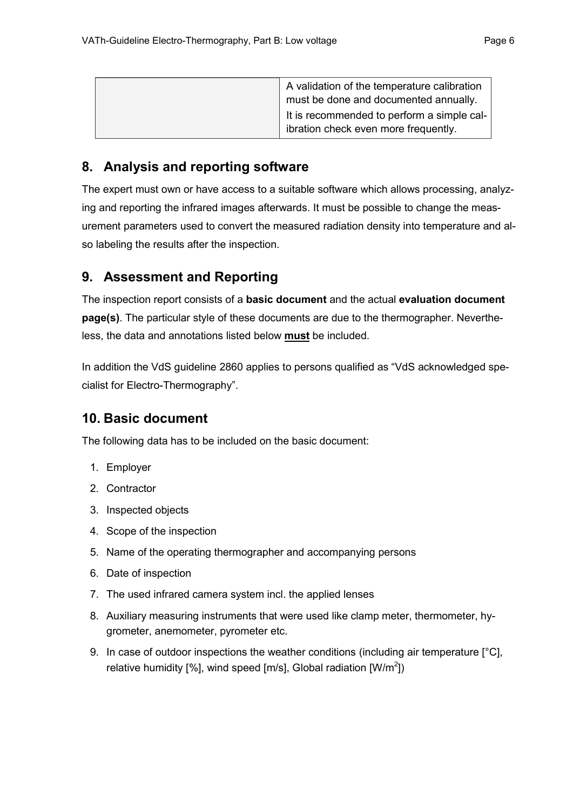| A validation of the temperature calibration<br>must be done and documented annually. |
|--------------------------------------------------------------------------------------|
| It is recommended to perform a simple cal-<br>ibration check even more frequently.   |

## 8. Analysis and reporting software

The expert must own or have access to a suitable software which allows processing, analyzing and reporting the infrared images afterwards. It must be possible to change the measurement parameters used to convert the measured radiation density into temperature and also labeling the results after the inspection.

### 9. Assessment and Reporting

The inspection report consists of a **basic document** and the actual evaluation document page(s). The particular style of these documents are due to the thermographer. Nevertheless, the data and annotations listed below must be included.

In addition the VdS guideline 2860 applies to persons qualified as "VdS acknowledged specialist for Electro-Thermography".

### 10. Basic document

The following data has to be included on the basic document:

- 1. Employer
- 2. Contractor
- 3. Inspected objects
- 4. Scope of the inspection
- 5. Name of the operating thermographer and accompanying persons
- 6. Date of inspection
- 7. The used infrared camera system incl. the applied lenses
- 8. Auxiliary measuring instruments that were used like clamp meter, thermometer, hygrometer, anemometer, pyrometer etc.
- 9. In case of outdoor inspections the weather conditions (including air temperature [°C], relative humidity [%], wind speed [m/s], Global radiation  $[W/m^2]$ ]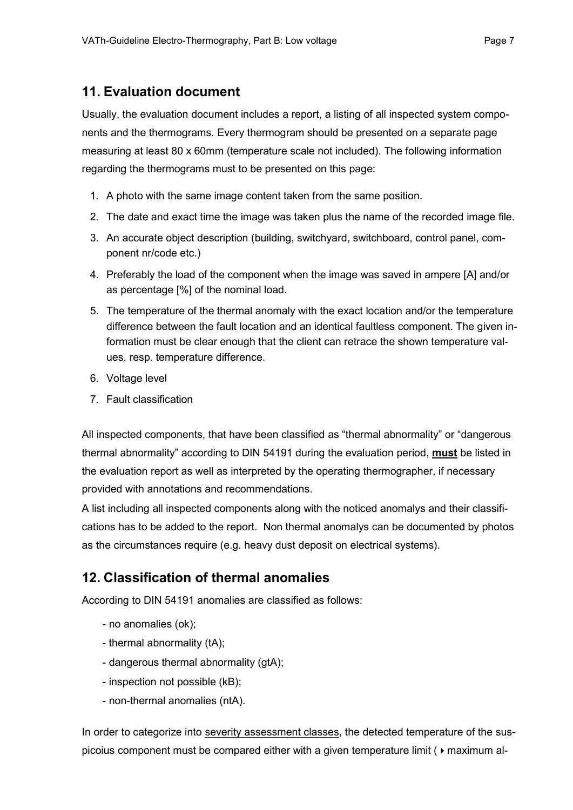#### 11. Evaluation document

Usually, the evaluation document includes a report, a listing of all inspected system components and the thermograms. Every thermogram should be presented on a separate page measuring at least 80 x 60mm (temperature scale not included). The following information regarding the thermograms must to be presented on this page:

- 1. A photo with the same image content taken from the same position.
- 2. The date and exact time the image was taken plus the name of the recorded image file.
- 3. An accurate object description (building, switchyard, switchboard, control panel, component nr/code etc.)
- 4. Preferably the load of the component when the image was saved in ampere [A] and/or as percentage [%] of the nominal load.
- 5. The temperature of the thermal anomaly with the exact location and/or the temperature difference between the fault location and an identical faultless component. The given information must be clear enough that the client can retrace the shown temperature values, resp. temperature difference.
- 6. Voltage level
- 7. Fault classification

All inspected components, that have been classified as "thermal abnormality" or "dangerous thermal abnormality" according to DIN 54191 during the evaluation period, **must** be listed in the evaluation report as well as interpreted by the operating thermographer, if necessary provided with annotations and recommendations.

A list including all inspected components along with the noticed anomalys and their classifications has to be added to the report. Non thermal anomalys can be documented by photos as the circumstances require (e.g. heavy dust deposit on electrical systems).

### 12. Classification of thermal anomalies

According to DIN 54191 anomalies are classified as follows:

- no anomalies (ok);
- thermal abnormality (tA);
- dangerous thermal abnormality (gtA);
- inspection not possible (kB);
- non-thermal anomalies (ntA).

In order to categorize into severity assessment classes, the detected temperature of the suspicoius component must be compared either with a given temperature limit ( $\triangleright$  maximum al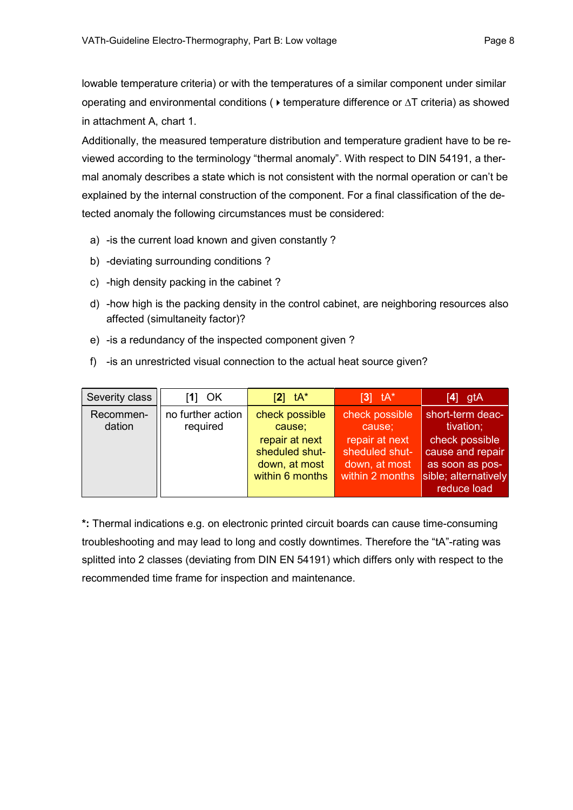lowable temperature criteria) or with the temperatures of a similar component under similar operating and environmental conditions ( $\triangleright$  temperature difference or  $\Delta T$  criteria) as showed in attachment A, chart 1.

Additionally, the measured temperature distribution and temperature gradient have to be reviewed according to the terminology "thermal anomaly". With respect to DIN 54191, a thermal anomaly describes a state which is not consistent with the normal operation or can't be explained by the internal construction of the component. For a final classification of the detected anomaly the following circumstances must be considered:

- a) -is the current load known and given constantly ?
- b) -deviating surrounding conditions ?
- c) -high density packing in the cabinet ?
- d) -how high is the packing density in the control cabinet, are neighboring resources also affected (simultaneity factor)?
- e) -is a redundancy of the inspected component given ?
- f) -is an unrestricted visual connection to the actual heat source given?

| Severity class      | $[1]$ OK                      | $\mathsf{Z}$ tA*                                                                                 | $\begin{bmatrix} 3 \end{bmatrix}$ th <sup>*</sup>                                                | $[4]$ gtA                                                                                                                     |
|---------------------|-------------------------------|--------------------------------------------------------------------------------------------------|--------------------------------------------------------------------------------------------------|-------------------------------------------------------------------------------------------------------------------------------|
| Recommen-<br>dation | no further action<br>required | check possible<br>cause;<br>repair at next<br>sheduled shut-<br>down, at most<br>within 6 months | check possible<br>cause;<br>repair at next<br>sheduled shut-<br>down, at most<br>within 2 months | short-term deac-<br>tivation;<br>check possible<br>cause and repair<br>as soon as pos-<br>sible; alternatively<br>reduce load |

\*: Thermal indications e.g. on electronic printed circuit boards can cause time-consuming troubleshooting and may lead to long and costly downtimes. Therefore the "tA"-rating was splitted into 2 classes (deviating from DIN EN 54191) which differs only with respect to the recommended time frame for inspection and maintenance.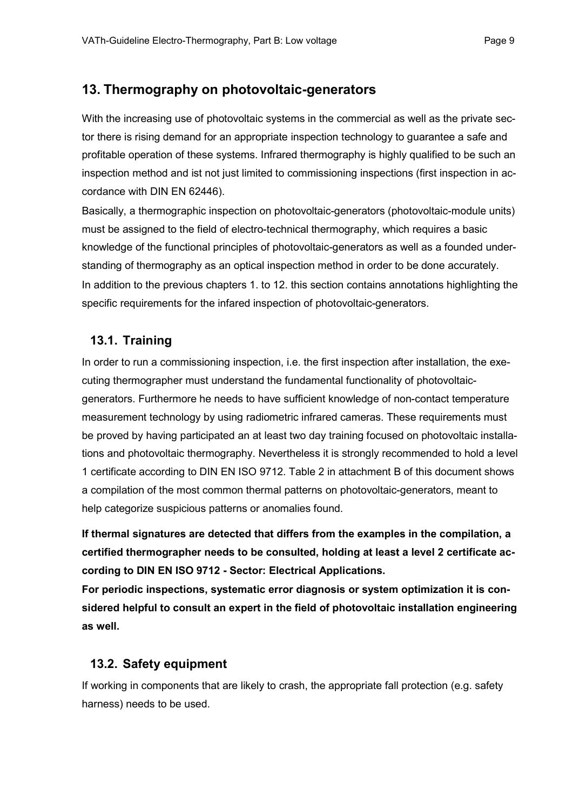### 13. Thermography on photovoltaic-generators

With the increasing use of photovoltaic systems in the commercial as well as the private sector there is rising demand for an appropriate inspection technology to guarantee a safe and profitable operation of these systems. Infrared thermography is highly qualified to be such an inspection method and ist not just limited to commissioning inspections (first inspection in accordance with DIN EN 62446).

Basically, a thermographic inspection on photovoltaic-generators (photovoltaic-module units) must be assigned to the field of electro-technical thermography, which requires a basic knowledge of the functional principles of photovoltaic-generators as well as a founded understanding of thermography as an optical inspection method in order to be done accurately. In addition to the previous chapters 1. to 12. this section contains annotations highlighting the specific requirements for the infared inspection of photovoltaic-generators.

### 13.1. Training

In order to run a commissioning inspection, i.e. the first inspection after installation, the executing thermographer must understand the fundamental functionality of photovoltaicgenerators. Furthermore he needs to have sufficient knowledge of non-contact temperature measurement technology by using radiometric infrared cameras. These requirements must be proved by having participated an at least two day training focused on photovoltaic installations and photovoltaic thermography. Nevertheless it is strongly recommended to hold a level 1 certificate according to DIN EN ISO 9712. Table 2 in attachment B of this document shows a compilation of the most common thermal patterns on photovoltaic-generators, meant to help categorize suspicious patterns or anomalies found.

If thermal signatures are detected that differs from the examples in the compilation, a certified thermographer needs to be consulted, holding at least a level 2 certificate according to DIN EN ISO 9712 - Sector: Electrical Applications.

For periodic inspections, systematic error diagnosis or system optimization it is considered helpful to consult an expert in the field of photovoltaic installation engineering as well.

### 13.2. Safety equipment

If working in components that are likely to crash, the appropriate fall protection (e.g. safety harness) needs to be used.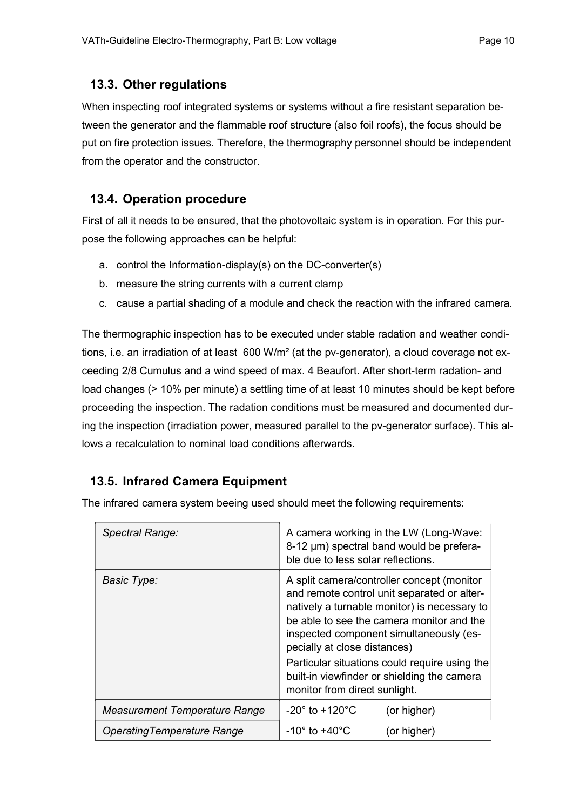#### 13.3. Other regulations

When inspecting roof integrated systems or systems without a fire resistant separation between the generator and the flammable roof structure (also foil roofs), the focus should be put on fire protection issues. Therefore, the thermography personnel should be independent from the operator and the constructor.

#### 13.4. Operation procedure

First of all it needs to be ensured, that the photovoltaic system is in operation. For this purpose the following approaches can be helpful:

- a. control the Information-display(s) on the DC-converter(s)
- b. measure the string currents with a current clamp
- c. cause a partial shading of a module and check the reaction with the infrared camera.

The thermographic inspection has to be executed under stable radation and weather conditions, i.e. an irradiation of at least  $600 \text{ W/m}^2$  (at the pv-generator), a cloud coverage not exceeding 2/8 Cumulus and a wind speed of max. 4 Beaufort. After short-term radation- and load changes (> 10% per minute) a settling time of at least 10 minutes should be kept before proceeding the inspection. The radation conditions must be measured and documented during the inspection (irradiation power, measured parallel to the pv-generator surface). This allows a recalculation to nominal load conditions afterwards.

### 13.5. Infrared Camera Equipment

Spectral Range: A camera working in the LW (Long-Wave: 8-12 µm) spectral band would be preferable due to less solar reflections. Basic Type: A split camera/controller concept (monitor and remote control unit separated or alternatively a turnable monitor) is necessary to be able to see the camera monitor and the inspected component simultaneously (especially at close distances) Particular situations could require using the built-in viewfinder or shielding the camera monitor from direct sunlight. Measurement Temperature Range  $\vert -20^\circ$  to +120 $^\circ$ C (or higher) Operating Temperature Range  $\vert -10^\circ$  to  $+40^\circ \text{C}$  (or higher)

The infrared camera system beeing used should meet the following requirements: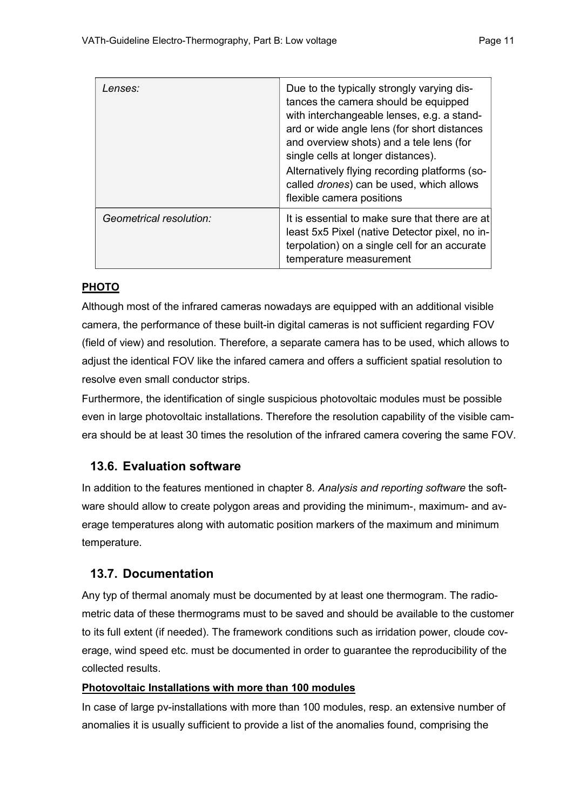| Lenses:                 | Due to the typically strongly varying dis-<br>tances the camera should be equipped<br>with interchangeable lenses, e.g. a stand-<br>ard or wide angle lens (for short distances<br>and overview shots) and a tele lens (for<br>single cells at longer distances).<br>Alternatively flying recording platforms (so-<br>called drones) can be used, which allows<br>flexible camera positions |
|-------------------------|---------------------------------------------------------------------------------------------------------------------------------------------------------------------------------------------------------------------------------------------------------------------------------------------------------------------------------------------------------------------------------------------|
| Geometrical resolution: | It is essential to make sure that there are at<br>least 5x5 Pixel (native Detector pixel, no in-<br>terpolation) on a single cell for an accurate<br>temperature measurement                                                                                                                                                                                                                |

#### PHOTO

Although most of the infrared cameras nowadays are equipped with an additional visible camera, the performance of these built-in digital cameras is not sufficient regarding FOV (field of view) and resolution. Therefore, a separate camera has to be used, which allows to adjust the identical FOV like the infared camera and offers a sufficient spatial resolution to resolve even small conductor strips.

Furthermore, the identification of single suspicious photovoltaic modules must be possible even in large photovoltaic installations. Therefore the resolution capability of the visible camera should be at least 30 times the resolution of the infrared camera covering the same FOV.

### 13.6. Evaluation software

In addition to the features mentioned in chapter 8. Analysis and reporting software the software should allow to create polygon areas and providing the minimum-, maximum- and average temperatures along with automatic position markers of the maximum and minimum temperature.

### 13.7. Documentation

Any typ of thermal anomaly must be documented by at least one thermogram. The radiometric data of these thermograms must to be saved and should be available to the customer to its full extent (if needed). The framework conditions such as irridation power, cloude coverage, wind speed etc. must be documented in order to guarantee the reproducibility of the collected results.

#### Photovoltaic Installations with more than 100 modules

In case of large pv-installations with more than 100 modules, resp. an extensive number of anomalies it is usually sufficient to provide a list of the anomalies found, comprising the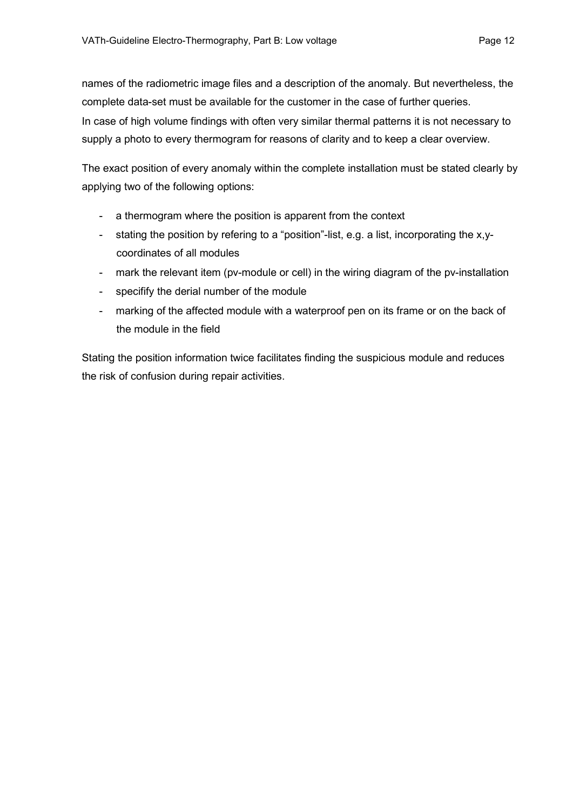names of the radiometric image files and a description of the anomaly. But nevertheless, the complete data-set must be available for the customer in the case of further queries. In case of high volume findings with often very similar thermal patterns it is not necessary to supply a photo to every thermogram for reasons of clarity and to keep a clear overview.

The exact position of every anomaly within the complete installation must be stated clearly by applying two of the following options:

- a thermogram where the position is apparent from the context
- stating the position by refering to a "position"-list, e.g. a list, incorporating the x,ycoordinates of all modules
- mark the relevant item (pv-module or cell) in the wiring diagram of the pv-installation
- specifify the derial number of the module
- marking of the affected module with a waterproof pen on its frame or on the back of the module in the field

Stating the position information twice facilitates finding the suspicious module and reduces the risk of confusion during repair activities.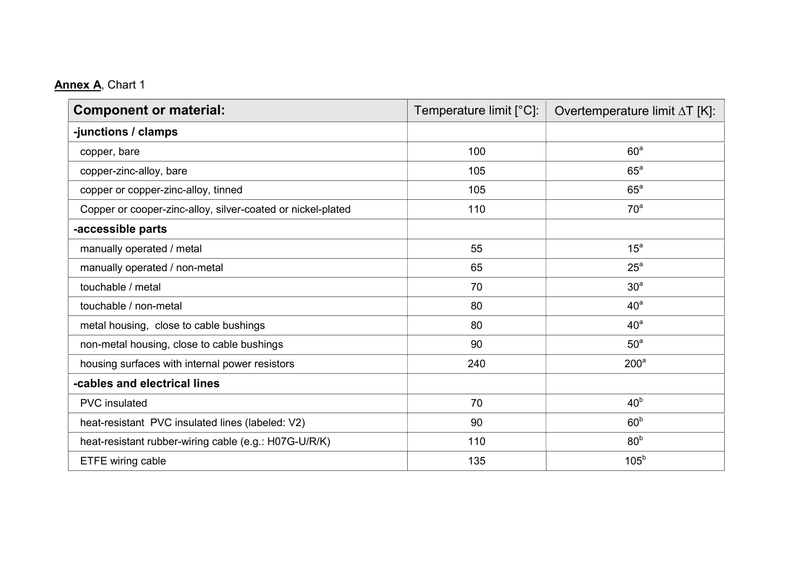# Annex A, Chart 1

| <b>Component or material:</b>                               | Temperature limit $[^{\circ}C]$ : | Overtemperature limit AT [K]: |  |
|-------------------------------------------------------------|-----------------------------------|-------------------------------|--|
| -junctions / clamps                                         |                                   |                               |  |
| copper, bare                                                | 100                               | 60 <sup>a</sup>               |  |
| copper-zinc-alloy, bare                                     | 105                               | $65^{\circ}$                  |  |
| copper or copper-zinc-alloy, tinned                         | 105                               | $65^{\circ}$                  |  |
| Copper or cooper-zinc-alloy, silver-coated or nickel-plated | 110                               | 70 <sup>a</sup>               |  |
| -accessible parts                                           |                                   |                               |  |
| manually operated / metal                                   | 55                                | 15 <sup>a</sup>               |  |
| manually operated / non-metal                               | 65                                | $25^{\circ}$                  |  |
| touchable / metal                                           | 70                                | 30 <sup>a</sup>               |  |
| touchable / non-metal                                       | 80                                | 40 <sup>a</sup>               |  |
| metal housing, close to cable bushings                      | 80                                | 40 <sup>a</sup>               |  |
| non-metal housing, close to cable bushings                  | 90                                | 50 <sup>a</sup>               |  |
| housing surfaces with internal power resistors              | 240                               | 200 <sup>a</sup>              |  |
| -cables and electrical lines                                |                                   |                               |  |
| <b>PVC</b> insulated                                        | 70                                | 40 <sup>b</sup>               |  |
| heat-resistant PVC insulated lines (labeled: V2)            | 90                                | 60 <sup>b</sup>               |  |
| heat-resistant rubber-wiring cable (e.g.: H07G-U/R/K)       | 110                               | 80 <sup>b</sup>               |  |
| ETFE wiring cable                                           | 135                               | 105 <sup>b</sup>              |  |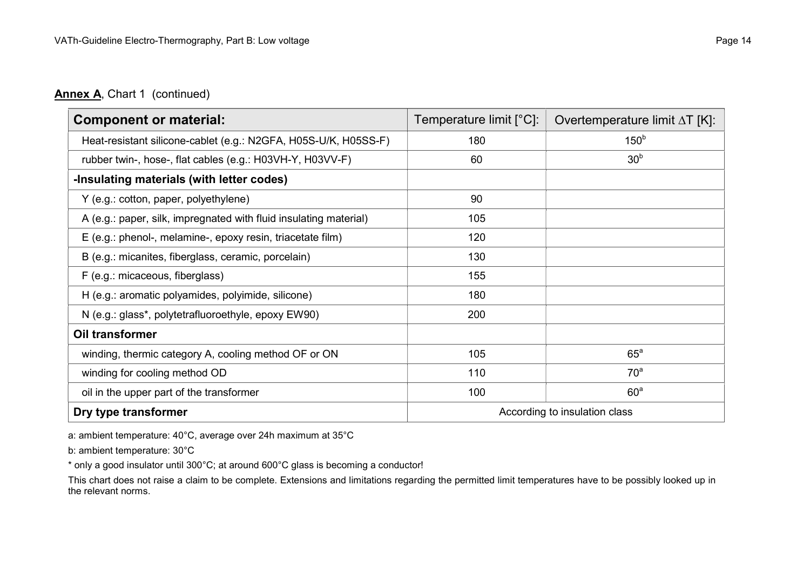#### Annex A, Chart 1 (continued)

| <b>Component or material:</b>                                     | Temperature limit $[^{\circ}C]$ : | Overtemperature limit $\Delta T$ [K]: |
|-------------------------------------------------------------------|-----------------------------------|---------------------------------------|
| Heat-resistant silicone-cablet (e.g.: N2GFA, H05S-U/K, H05SS-F)   | 180                               | 150 <sup>b</sup>                      |
| rubber twin-, hose-, flat cables (e.g.: H03VH-Y, H03VV-F)         | 60                                | 30 <sup>b</sup>                       |
| -Insulating materials (with letter codes)                         |                                   |                                       |
| Y (e.g.: cotton, paper, polyethylene)                             | 90                                |                                       |
| A (e.g.: paper, silk, impregnated with fluid insulating material) | 105                               |                                       |
| E (e.g.: phenol-, melamine-, epoxy resin, triacetate film)        | 120                               |                                       |
| B (e.g.: micanites, fiberglass, ceramic, porcelain)               | 130                               |                                       |
| F (e.g.: micaceous, fiberglass)                                   | 155                               |                                       |
| H (e.g.: aromatic polyamides, polyimide, silicone)                | 180                               |                                       |
| N (e.g.: glass*, polytetrafluoroethyle, epoxy EW90)               | 200                               |                                       |
| Oil transformer                                                   |                                   |                                       |
| winding, thermic category A, cooling method OF or ON              | 105                               | $65^{\circ}$                          |
| winding for cooling method OD                                     | 110                               | 70 <sup>a</sup>                       |
| oil in the upper part of the transformer                          | 100                               | 60 <sup>a</sup>                       |
| Dry type transformer<br>According to insulation class             |                                   |                                       |

a: ambient temperature: 40°C, average over 24h maximum at 35°C

b: ambient temperature: 30°C

\* only a good insulator until 300°C; at around 600°C glass is becoming a conductor!

This chart does not raise a claim to be complete. Extensions and limitations regarding the permitted limit temperatures have to be possibly looked up in the relevant norms.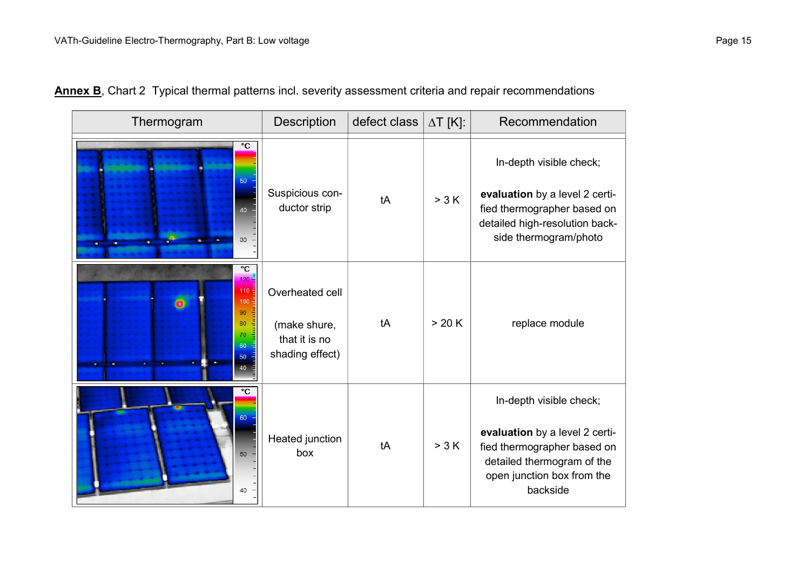| Thermogram                                                                  | Description                                                         | defect class | $\Delta T$ [K]: | Recommendation                                                                                                                                                   |
|-----------------------------------------------------------------------------|---------------------------------------------------------------------|--------------|-----------------|------------------------------------------------------------------------------------------------------------------------------------------------------------------|
| $\overline{c}$<br>50<br>40<br>30                                            | Suspicious con-<br>ductor strip                                     | tA           | > 3 K           | In-depth visible check;<br>evaluation by a level 2 certi-<br>fied thermographer based on<br>detailed high-resolution back-<br>side thermogram/photo              |
| $\overline{c}$<br>$120 -$<br>110<br>100<br>90<br>80<br>70<br>60<br>50<br>40 | Overheated cell<br>(make shure,<br>that it is no<br>shading effect) | tA           | >20 K           | replace module                                                                                                                                                   |
| $\overline{\text{c}}$<br>60<br>50<br>40                                     | Heated junction<br>box                                              | tA           | > 3 K           | In-depth visible check;<br>evaluation by a level 2 certi-<br>fied thermographer based on<br>detailed thermogram of the<br>open junction box from the<br>backside |

Annex B, Chart 2 Typical thermal patterns incl. severity assessment criteria and repair recommendations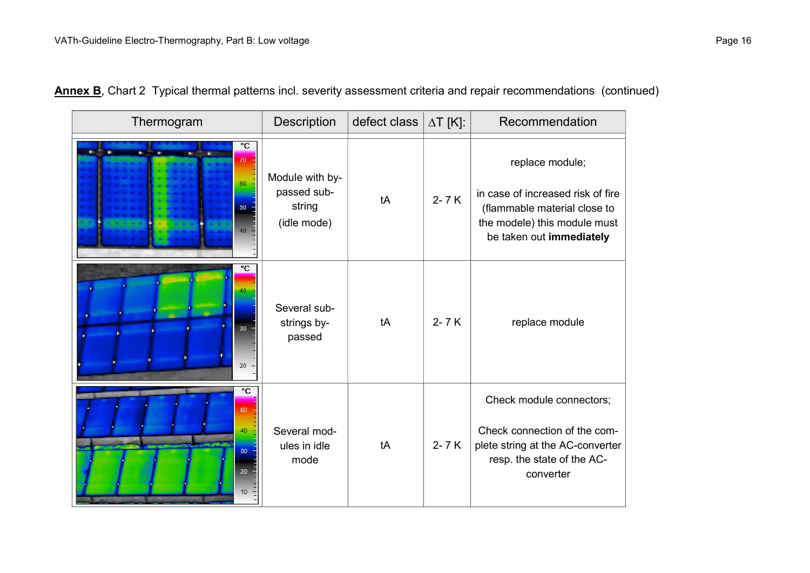| Thermogram                                                | Description                                             | defect class | $\Delta T$ [K]: | Recommendation                                                                                                                                   |
|-----------------------------------------------------------|---------------------------------------------------------|--------------|-----------------|--------------------------------------------------------------------------------------------------------------------------------------------------|
| $\overline{C}$<br>70<br>60<br>50<br>40                    | Module with by-<br>passed sub-<br>string<br>(idle mode) | tA           | $2 - 7K$        | replace module;<br>in case of increased risk of fire<br>(flammable material close to<br>the modele) this module must<br>be taken out immediately |
| $\overline{C}$<br>40<br>30 <sub>1</sub><br>20             | Several sub-<br>strings by-<br>passed                   | tA           | $2 - 7K$        | replace module                                                                                                                                   |
| $\overline{c}$<br>50<br>40<br>30 <sub>o</sub><br>20<br>10 | Several mod-<br>ules in idle<br>mode                    | tA           | $2 - 7K$        | Check module connectors;<br>Check connection of the com-<br>plete string at the AC-converter<br>resp. the state of the AC-<br>converter          |

|  |  |  |  |  |  | Annex B, Chart 2 Typical thermal patterns incl. severity assessment criteria and repair recommendations (continued) |  |
|--|--|--|--|--|--|---------------------------------------------------------------------------------------------------------------------|--|
|--|--|--|--|--|--|---------------------------------------------------------------------------------------------------------------------|--|